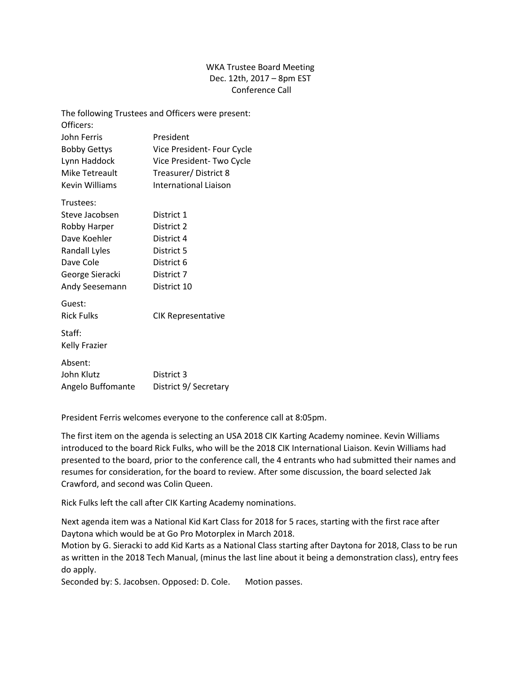## WKA Trustee Board Meeting Dec. 12th, 2017 – 8pm EST Conference Call

|                      | The following Trustees and Officers were present: |
|----------------------|---------------------------------------------------|
| Officers:            |                                                   |
| John Ferris          | President                                         |
| <b>Bobby Gettys</b>  | Vice President- Four Cycle                        |
| Lynn Haddock         | Vice President- Two Cycle                         |
| Mike Tetreault       | Treasurer/District 8                              |
| Kevin Williams       | International Liaison                             |
| Trustees:            |                                                   |
| Steve Jacobsen       | District 1                                        |
| Robby Harper         | District 2                                        |
| Dave Koehler         | District 4                                        |
| Randall Lyles        | District 5                                        |
| Dave Cole            | District 6                                        |
| George Sieracki      | District 7                                        |
| Andy Seesemann       | District 10                                       |
| Guest:               |                                                   |
| <b>Rick Fulks</b>    | <b>CIK Representative</b>                         |
| Staff:               |                                                   |
| <b>Kelly Frazier</b> |                                                   |
| Absent:              |                                                   |
| John Klutz           | District 3                                        |
| Angelo Buffomante    | District 9/ Secretary                             |

President Ferris welcomes everyone to the conference call at 8:05pm.

The first item on the agenda is selecting an USA 2018 CIK Karting Academy nominee. Kevin Williams introduced to the board Rick Fulks, who will be the 2018 CIK International Liaison. Kevin Williams had presented to the board, prior to the conference call, the 4 entrants who had submitted their names and resumes for consideration, for the board to review. After some discussion, the board selected Jak Crawford, and second was Colin Queen.

Rick Fulks left the call after CIK Karting Academy nominations.

Next agenda item was a National Kid Kart Class for 2018 for 5 races, starting with the first race after Daytona which would be at Go Pro Motorplex in March 2018.

Motion by G. Sieracki to add Kid Karts as a National Class starting after Daytona for 2018, Class to be run as written in the 2018 Tech Manual, (minus the last line about it being a demonstration class), entry fees do apply.

Seconded by: S. Jacobsen. Opposed: D. Cole. Motion passes.